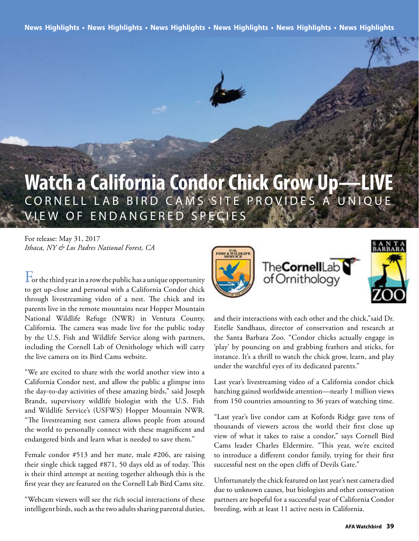News Highlights • News Highlights • News Highlights • News Highlights • News Highlights • News Highlights

### **Watch a California Condor Chick Grow Up—LIVE** CORNELL LAB BIRD CAMS SITE PROVIDES A UNIQUE VIEW O F ENDANGERED SPECIES

For release: May 31, 2017 *Ithaca, NY & Los Padres National Forest, CA*

 $\Gamma$  or the third year in a row the public has a unique opportunity to get up-close and personal with a California Condor chick through livestreaming video of a nest. The chick and its parents live in the remote mountains near Hopper Mountain National Wildlife Refuge (NWR) in Ventura County, California. The camera was made live for the public today by the U.S. Fish and Wildlife Service along with partners, including the Cornell Lab of Ornithology which will carry the live camera on its Bird Cams website.

"We are excited to share with the world another view into a California Condor nest, and allow the public a glimpse into the day-to-day activities of these amazing birds," said Joseph Brandt, supervisory wildlife biologist with the U.S. Fish and Wildlife Service's (USFWS) Hopper Mountain NWR. "The livestreaming nest camera allows people from around the world to personally connect with these magnifcent and endangered birds and learn what is needed to save them."

Female condor #513 and her mate, male #206, are raising their single chick tagged #871, 50 days old as of today. This is their third attempt at nesting together although this is the frst year they are featured on the Cornell Lab Bird Cams site.

"Webcam viewers will see the rich social interactions of these intelligent birds, such as the two adults sharing parental duties,



and their interactions with each other and the chick,"said Dr. Estelle Sandhaus, director of conservation and research at the Santa Barbara Zoo. "Condor chicks actually engage in 'play' by pouncing on and grabbing feathers and sticks, for instance. It's a thrill to watch the chick grow, learn, and play under the watchful eyes of its dedicated parents."

Last year's livestreaming video of a California condor chick hatching gained worldwide attention—nearly 1 million views from 150 countries amounting to 36 years of watching time.

"Last year's live condor cam at Kofords Ridge gave tens of thousands of viewers across the world their frst close up view of what it takes to raise a condor," says Cornell Bird Cams leader Charles Eldermire. "This year, we're excited to introduce a diferent condor family, trying for their frst successful nest on the open clifs of Devils Gate."

Unfortunately the chick featured on last year's nest camera died due to unknown causes, but biologists and other conservation partners are hopeful for a successful year of California Condor breeding, with at least 11 active nests in California.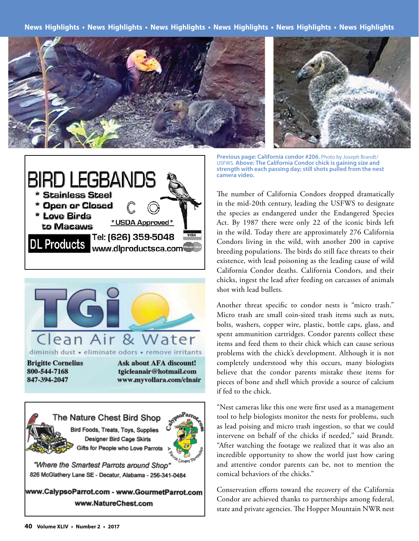**News Highlights • News Highlights • News Highlights • News Highlights • News Highlights • News Highlights** 







"Where the Smartest Parrots around Shop" 826 McGlathery Lane SE - Decatur, Alabama - 256-341-0484

www.CalypsoParrot.com - www.GourmetParrot.com www.NatureChest.com



**Previous page: California condor #206.** Photo by Joseph Brandt/ USFWS. **Above: The California Condor chick is gaining size and strength with each passing day; still shots pulled from the nest camera video.** 

The number of California Condors dropped dramatically in the mid-20th century, leading the USFWS to designate the species as endangered under the Endangered Species Act. By 1987 there were only 22 of the iconic birds left in the wild. Today there are approximately 276 California Condors living in the wild, with another 200 in captive breeding populations. The birds do still face threats to their existence, with lead poisoning as the leading cause of wild California Condor deaths. California Condors, and their chicks, ingest the lead after feeding on carcasses of animals shot with lead bullets.

Another threat specifc to condor nests is "micro trash." Micro trash are small coin-sized trash items such as nuts, bolts, washers, copper wire, plastic, bottle caps, glass, and spent ammunition cartridges. Condor parents collect these items and feed them to their chick which can cause serious problems with the chick's development. Although it is not completely understood why this occurs, many biologists believe that the condor parents mistake these items for pieces of bone and shell which provide a source of calcium if fed to the chick.

"Nest cameras like this one were frst used as a management tool to help biologists monitor the nests for problems, such as lead poising and micro trash ingestion, so that we could intervene on behalf of the chicks if needed," said Brandt. "After watching the footage we realized that it was also an incredible opportunity to show the world just how caring and attentive condor parents can be, not to mention the comical behaviors of the chicks."

Conservation efforts toward the recovery of the California Condor are achieved thanks to partnerships among federal, state and private agencies. The Hopper Mountain NWR nest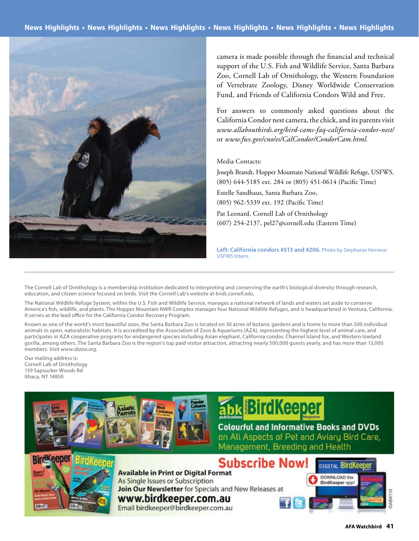

camera is made possible through the fnancial and technical support of the U.S. Fish and Wildlife Service, Santa Barbara Zoo, Cornell Lab of Ornithology, the Western Foundation of Vertebrate Zoology, Disney Worldwide Conservation Fund, and Friends of California Condors Wild and Free.

For answers to commonly asked questions about the California Condor nest camera, the chick, and its parents visit *www.allaboutbirds.org/bird-cams-faq-california-condor-nest/*  or *www.fws.gov/cno/es/CalCondor/CondorCam.html.* 

#### Media Contacts:

Joseph Brandt, Hopper Mountain National Wildlife Refuge, USFWS, (805) 644-5185 ext. 284 or (805) 451-0614 (Pacifc Time)

Estelle Sandhaus, Santa Barbara Zoo, (805) 962-5339 ext. 192 (Pacifc Time)

Pat Leonard, Cornell Lab of Ornithology (607) 254-2137, pel27@cornell.edu (Eastern Time)

**Left: California condors #513 and #206.** Photo by Stephanie Herrera/ USFWS Intern.

The Cornell Lab of Ornithology is a membership institution dedicated to interpreting and conserving the earth's biological diversity through research, education, and citizen science focused on birds. Visit the Cornell Lab's website at *birds.cornell.edu*.

The National Wildlife Refuge System, within the U.S. Fish and Wildlife Service, manages a national network of lands and waters set aside to conserve America's fsh, wildlife, and plants. The Hopper Mountain NWR Complex manages four National Wildlife Refuges, and is headquartered in Ventura, California. It serves as the lead office for the California Condor Recovery Program.

Known as one of the world's most beautiful zoos, the Santa Barbara Zoo is located on 30 acres of botanic gardens and is home to more than 500 individual animals in open, naturalistic habitats. It is accredited by the Association of Zoos & Aquariums (AZA), representing the highest level of animal care, and participates in AZA cooperative programs for endangered species including Asian elephant, California condor, Channel Island fox, and Western lowland gorilla, among others. The Santa Barbara Zoo is the region's top paid visitor attraction, attracting nearly 500,000 guests yearly, and has more than 13,000 members. Visit *www.sbzoo.org*.

Our mailing address is: Cornell Lab of Ornithology 159 Sapsucker Woods Rd Ithaca, NY 14850



# **bk BirdKeeper**

#### **Colourful and Informative Books and DVDs**

on All Aspects of Pet and Aviary Bird Care, Management, Breeding and Health



**Subscribe Now! Available in Print or Digital Format** As Single Issues or Subscription Join Our Newsletter for Specials and New Releases at www.birdkeeper.com.au